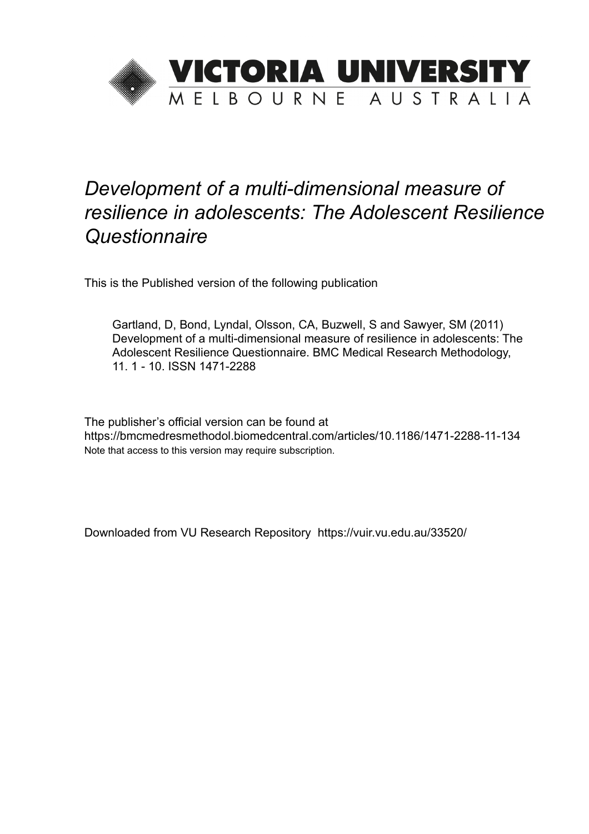

# *Development of a multi-dimensional measure of resilience in adolescents: The Adolescent Resilience Questionnaire*

This is the Published version of the following publication

Gartland, D, Bond, Lyndal, Olsson, CA, Buzwell, S and Sawyer, SM (2011) Development of a multi-dimensional measure of resilience in adolescents: The Adolescent Resilience Questionnaire. BMC Medical Research Methodology, 11. 1 - 10. ISSN 1471-2288

The publisher's official version can be found at https://bmcmedresmethodol.biomedcentral.com/articles/10.1186/1471-2288-11-134 Note that access to this version may require subscription.

Downloaded from VU Research Repository https://vuir.vu.edu.au/33520/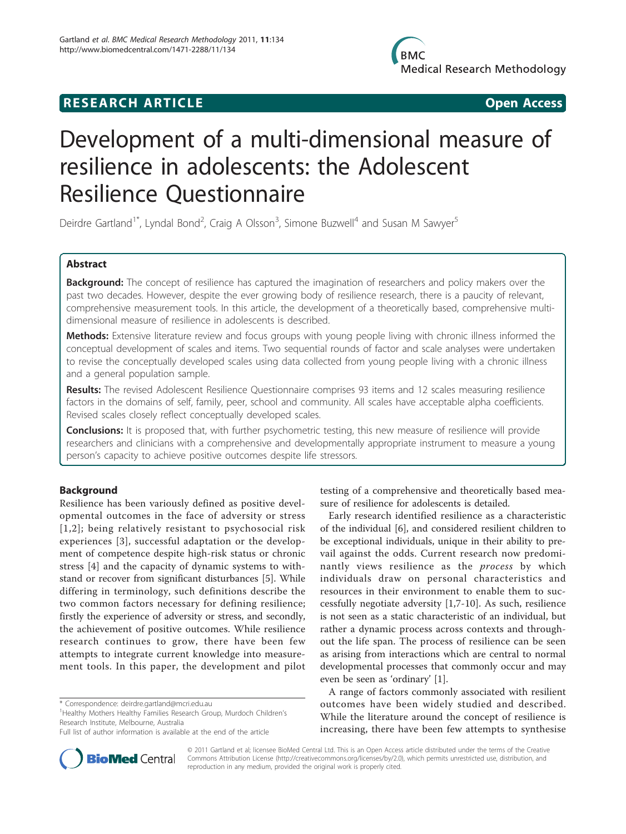# **RESEARCH ARTICLE Example 2018 12:00 Open Access**

# Development of a multi-dimensional measure of resilience in adolescents: the Adolescent Resilience Questionnaire

Deirdre Gartland<sup>1\*</sup>, Lyndal Bond<sup>2</sup>, Craig A Olsson<sup>3</sup>, Simone Buzwell<sup>4</sup> and Susan M Sawyer<sup>5</sup>

# Abstract

Background: The concept of resilience has captured the imagination of researchers and policy makers over the past two decades. However, despite the ever growing body of resilience research, there is a paucity of relevant, comprehensive measurement tools. In this article, the development of a theoretically based, comprehensive multidimensional measure of resilience in adolescents is described.

Methods: Extensive literature review and focus groups with young people living with chronic illness informed the conceptual development of scales and items. Two sequential rounds of factor and scale analyses were undertaken to revise the conceptually developed scales using data collected from young people living with a chronic illness and a general population sample.

Results: The revised Adolescent Resilience Questionnaire comprises 93 items and 12 scales measuring resilience factors in the domains of self, family, peer, school and community. All scales have acceptable alpha coefficients. Revised scales closely reflect conceptually developed scales.

**Conclusions:** It is proposed that, with further psychometric testing, this new measure of resilience will provide researchers and clinicians with a comprehensive and developmentally appropriate instrument to measure a young person's capacity to achieve positive outcomes despite life stressors.

# Background

Resilience has been variously defined as positive developmental outcomes in the face of adversity or stress [[1,2\]](#page-9-0); being relatively resistant to psychosocial risk experiences [[3\]](#page-9-0), successful adaptation or the development of competence despite high-risk status or chronic stress [[4\]](#page-9-0) and the capacity of dynamic systems to withstand or recover from significant disturbances [\[5](#page-9-0)]. While differing in terminology, such definitions describe the two common factors necessary for defining resilience; firstly the experience of adversity or stress, and secondly, the achievement of positive outcomes. While resilience research continues to grow, there have been few attempts to integrate current knowledge into measurement tools. In this paper, the development and pilot

<sup>1</sup> Healthy Mothers Healthy Families Research Group, Murdoch Children's Research Institute, Melbourne, Australia



Early research identified resilience as a characteristic of the individual [[6\]](#page-9-0), and considered resilient children to be exceptional individuals, unique in their ability to prevail against the odds. Current research now predominantly views resilience as the process by which individuals draw on personal characteristics and resources in their environment to enable them to successfully negotiate adversity [[1,7-10](#page-9-0)]. As such, resilience is not seen as a static characteristic of an individual, but rather a dynamic process across contexts and throughout the life span. The process of resilience can be seen as arising from interactions which are central to normal developmental processes that commonly occur and may even be seen as 'ordinary' [\[1](#page-9-0)].

A range of factors commonly associated with resilient outcomes have been widely studied and described. While the literature around the concept of resilience is increasing, there have been few attempts to synthesise



© 2011 Gartland et al; licensee BioMed Central Ltd. This is an Open Access article distributed under the terms of the Creative Commons Attribution License [\(http://creativecommons.org/licenses/by/2.0](http://creativecommons.org/licenses/by/2.0)), which permits unrestricted use, distribution, and reproduction in any medium, provided the original work is properly cited.

<sup>\*</sup> Correspondence: [deirdre.gartland@mcri.edu.au](mailto:deirdre.gartland@mcri.edu.au)

Full list of author information is available at the end of the article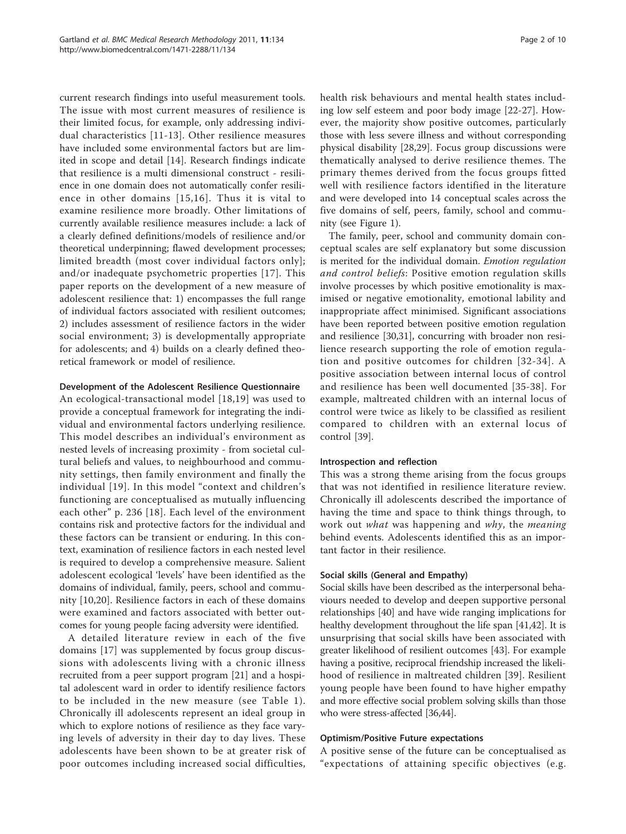current research findings into useful measurement tools. The issue with most current measures of resilience is their limited focus, for example, only addressing individual characteristics [[11](#page-9-0)-[13](#page-9-0)]. Other resilience measures have included some environmental factors but are limited in scope and detail [[14\]](#page-9-0). Research findings indicate that resilience is a multi dimensional construct - resilience in one domain does not automatically confer resilience in other domains [[15,16](#page-9-0)]. Thus it is vital to examine resilience more broadly. Other limitations of currently available resilience measures include: a lack of a clearly defined definitions/models of resilience and/or theoretical underpinning; flawed development processes; limited breadth (most cover individual factors only]; and/or inadequate psychometric properties [[17](#page-9-0)]. This paper reports on the development of a new measure of adolescent resilience that: 1) encompasses the full range of individual factors associated with resilient outcomes; 2) includes assessment of resilience factors in the wider social environment; 3) is developmentally appropriate for adolescents; and 4) builds on a clearly defined theoretical framework or model of resilience.

#### Development of the Adolescent Resilience Questionnaire

An ecological-transactional model [[18](#page-9-0),[19](#page-9-0)] was used to provide a conceptual framework for integrating the individual and environmental factors underlying resilience. This model describes an individual's environment as nested levels of increasing proximity - from societal cultural beliefs and values, to neighbourhood and community settings, then family environment and finally the individual [[19\]](#page-9-0). In this model "context and children's functioning are conceptualised as mutually influencing each other" p. 236 [[18](#page-9-0)]. Each level of the environment contains risk and protective factors for the individual and these factors can be transient or enduring. In this context, examination of resilience factors in each nested level is required to develop a comprehensive measure. Salient adolescent ecological 'levels' have been identified as the domains of individual, family, peers, school and community [[10,20](#page-9-0)]. Resilience factors in each of these domains were examined and factors associated with better outcomes for young people facing adversity were identified.

A detailed literature review in each of the five domains [[17\]](#page-9-0) was supplemented by focus group discussions with adolescents living with a chronic illness recruited from a peer support program [\[21](#page-9-0)] and a hospital adolescent ward in order to identify resilience factors to be included in the new measure (see Table [1\)](#page-3-0). Chronically ill adolescents represent an ideal group in which to explore notions of resilience as they face varying levels of adversity in their day to day lives. These adolescents have been shown to be at greater risk of poor outcomes including increased social difficulties, health risk behaviours and mental health states including low self esteem and poor body image [\[22](#page-9-0)-[27\]](#page-9-0). However, the majority show positive outcomes, particularly those with less severe illness and without corresponding physical disability [\[28,29](#page-10-0)]. Focus group discussions were thematically analysed to derive resilience themes. The primary themes derived from the focus groups fitted well with resilience factors identified in the literature and were developed into 14 conceptual scales across the five domains of self, peers, family, school and community (see Figure [1](#page-4-0)).

The family, peer, school and community domain conceptual scales are self explanatory but some discussion is merited for the individual domain. Emotion regulation and control beliefs: Positive emotion regulation skills involve processes by which positive emotionality is maximised or negative emotionality, emotional lability and inappropriate affect minimised. Significant associations have been reported between positive emotion regulation and resilience [\[30,31](#page-10-0)], concurring with broader non resilience research supporting the role of emotion regulation and positive outcomes for children [[32-34](#page-10-0)]. A positive association between internal locus of control and resilience has been well documented [[35-38\]](#page-10-0). For example, maltreated children with an internal locus of control were twice as likely to be classified as resilient compared to children with an external locus of control [\[39](#page-10-0)].

#### Introspection and reflection

This was a strong theme arising from the focus groups that was not identified in resilience literature review. Chronically ill adolescents described the importance of having the time and space to think things through, to work out *what* was happening and *why*, the *meaning* behind events. Adolescents identified this as an important factor in their resilience.

#### Social skills (General and Empathy)

Social skills have been described as the interpersonal behaviours needed to develop and deepen supportive personal relationships [[40\]](#page-10-0) and have wide ranging implications for healthy development throughout the life span [[41,42](#page-10-0)]. It is unsurprising that social skills have been associated with greater likelihood of resilient outcomes [\[43\]](#page-10-0). For example having a positive, reciprocal friendship increased the likelihood of resilience in maltreated children [[39\]](#page-10-0). Resilient young people have been found to have higher empathy and more effective social problem solving skills than those who were stress-affected [[36,44\]](#page-10-0).

#### Optimism/Positive Future expectations

A positive sense of the future can be conceptualised as "expectations of attaining specific objectives (e.g.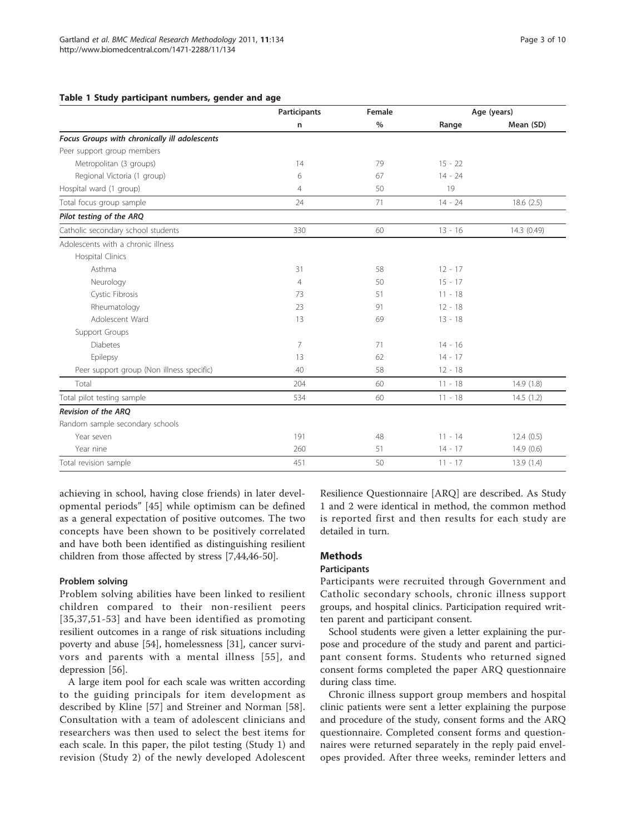#### <span id="page-3-0"></span>Table 1 Study participant numbers, gender and age

|                                               | <b>Participants</b> | Female<br>$\%$ | Age (years) |             |
|-----------------------------------------------|---------------------|----------------|-------------|-------------|
|                                               | n                   |                | Range       | Mean (SD)   |
| Focus Groups with chronically ill adolescents |                     |                |             |             |
| Peer support group members                    |                     |                |             |             |
| Metropolitan (3 groups)                       | 14                  | 79             | $15 - 22$   |             |
| Regional Victoria (1 group)                   | 6                   | 67             | $14 - 24$   |             |
| Hospital ward (1 group)                       | $\overline{4}$      | 50             | 19          |             |
| Total focus group sample                      | 24                  | 71             | $14 - 24$   | 18.6(2.5)   |
| Pilot testing of the ARQ                      |                     |                |             |             |
| Catholic secondary school students            | 330                 | 60             | $13 - 16$   | 14.3 (0.49) |
| Adolescents with a chronic illness            |                     |                |             |             |
| <b>Hospital Clinics</b>                       |                     |                |             |             |
| Asthma                                        | 31                  | 58             | $12 - 17$   |             |
| Neurology                                     | $\overline{4}$      | 50             | $15 - 17$   |             |
| Cystic Fibrosis                               | 73                  | 51             | $11 - 18$   |             |
| Rheumatology                                  | 23                  | 91             | $12 - 18$   |             |
| Adolescent Ward                               | 13                  | 69             | $13 - 18$   |             |
| Support Groups                                |                     |                |             |             |
| <b>Diabetes</b>                               | $\overline{7}$      | 71             | $14 - 16$   |             |
| Epilepsy                                      | 13                  | 62             | $14 - 17$   |             |
| Peer support group (Non illness specific)     | 40                  | 58             | $12 - 18$   |             |
| Total                                         | 204                 | 60             | $11 - 18$   | 14.9(1.8)   |
| Total pilot testing sample                    | 534                 | 60             | $11 - 18$   | 14.5(1.2)   |
| Revision of the ARO                           |                     |                |             |             |
| Random sample secondary schools               |                     |                |             |             |
| Year seven                                    | 191                 | 48             | $11 - 14$   | 12.4(0.5)   |
| Year nine                                     | 260                 | 51             | $14 - 17$   | 14.9(0.6)   |
| Total revision sample                         | 451                 | 50             | $11 - 17$   | 13.9(1.4)   |
|                                               |                     |                |             |             |

achieving in school, having close friends) in later developmental periods" [[45\]](#page-10-0) while optimism can be defined as a general expectation of positive outcomes. The two concepts have been shown to be positively correlated and have both been identified as distinguishing resilient children from those affected by stress [[7](#page-9-0),[44,46](#page-10-0)-[50\]](#page-10-0).

#### Problem solving

Problem solving abilities have been linked to resilient children compared to their non-resilient peers [[35,37,51-53](#page-10-0)] and have been identified as promoting resilient outcomes in a range of risk situations including poverty and abuse [[54](#page-10-0)], homelessness [\[31](#page-10-0)], cancer survivors and parents with a mental illness [[55\]](#page-10-0), and depression [\[56](#page-10-0)].

A large item pool for each scale was written according to the guiding principals for item development as described by Kline [[57](#page-10-0)] and Streiner and Norman [[58](#page-10-0)]. Consultation with a team of adolescent clinicians and researchers was then used to select the best items for each scale. In this paper, the pilot testing (Study 1) and revision (Study 2) of the newly developed Adolescent Resilience Questionnaire [ARQ] are described. As Study 1 and 2 were identical in method, the common method is reported first and then results for each study are detailed in turn.

# **Methods**

### **Participants**

Participants were recruited through Government and Catholic secondary schools, chronic illness support groups, and hospital clinics. Participation required written parent and participant consent.

School students were given a letter explaining the purpose and procedure of the study and parent and participant consent forms. Students who returned signed consent forms completed the paper ARQ questionnaire during class time.

Chronic illness support group members and hospital clinic patients were sent a letter explaining the purpose and procedure of the study, consent forms and the ARQ questionnaire. Completed consent forms and questionnaires were returned separately in the reply paid envelopes provided. After three weeks, reminder letters and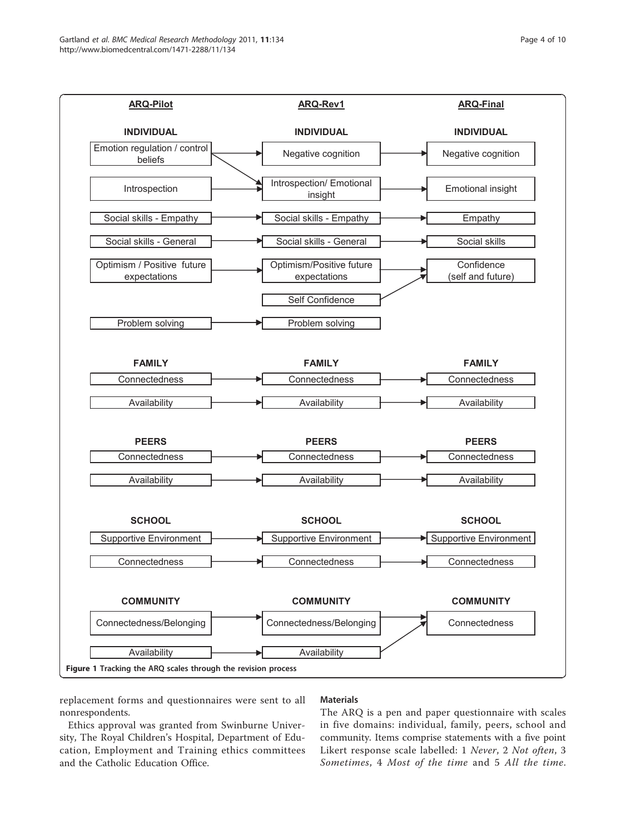<span id="page-4-0"></span>

replacement forms and questionnaires were sent to all nonrespondents.

Ethics approval was granted from Swinburne University, The Royal Children's Hospital, Department of Education, Employment and Training ethics committees and the Catholic Education Office.

# **Materials**

The ARQ is a pen and paper questionnaire with scales in five domains: individual, family, peers, school and community. Items comprise statements with a five point Likert response scale labelled: 1 Never, 2 Not often, 3 Sometimes, 4 Most of the time and 5 All the time.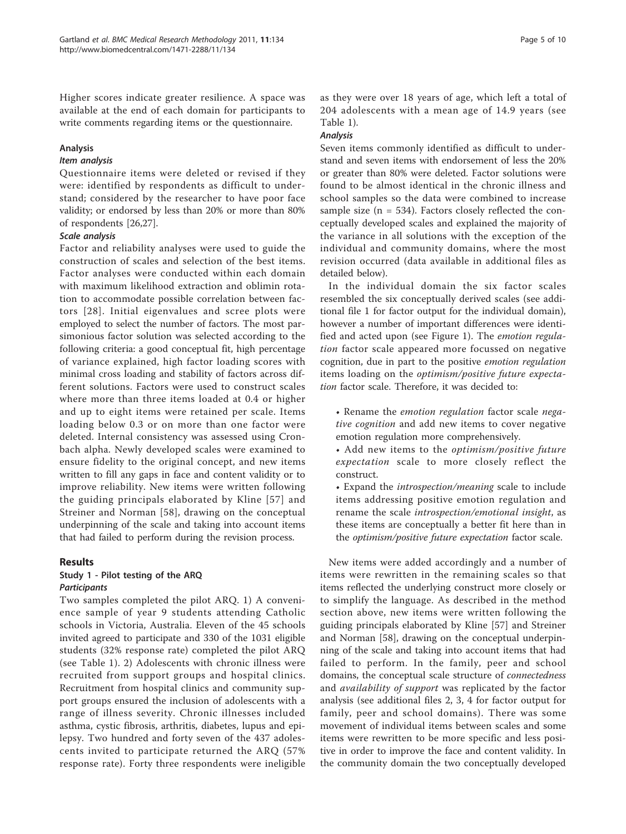Higher scores indicate greater resilience. A space was available at the end of each domain for participants to write comments regarding items or the questionnaire.

#### Analysis

### Item analysis

Questionnaire items were deleted or revised if they were: identified by respondents as difficult to understand; considered by the researcher to have poor face validity; or endorsed by less than 20% or more than 80% of respondents [[26,27](#page-9-0)].

# Scale analysis

Factor and reliability analyses were used to guide the construction of scales and selection of the best items. Factor analyses were conducted within each domain with maximum likelihood extraction and oblimin rotation to accommodate possible correlation between factors [[28\]](#page-10-0). Initial eigenvalues and scree plots were employed to select the number of factors. The most parsimonious factor solution was selected according to the following criteria: a good conceptual fit, high percentage of variance explained, high factor loading scores with minimal cross loading and stability of factors across different solutions. Factors were used to construct scales where more than three items loaded at 0.4 or higher and up to eight items were retained per scale. Items loading below 0.3 or on more than one factor were deleted. Internal consistency was assessed using Cronbach alpha. Newly developed scales were examined to ensure fidelity to the original concept, and new items written to fill any gaps in face and content validity or to improve reliability. New items were written following the guiding principals elaborated by Kline [\[57](#page-10-0)] and Streiner and Norman [[58\]](#page-10-0), drawing on the conceptual underpinning of the scale and taking into account items that had failed to perform during the revision process.

# Results

# Study 1 - Pilot testing of the ARQ **Participants**

Two samples completed the pilot ARQ. 1) A convenience sample of year 9 students attending Catholic schools in Victoria, Australia. Eleven of the 45 schools invited agreed to participate and 330 of the 1031 eligible students (32% response rate) completed the pilot ARQ (see Table [1\)](#page-3-0). 2) Adolescents with chronic illness were recruited from support groups and hospital clinics. Recruitment from hospital clinics and community support groups ensured the inclusion of adolescents with a range of illness severity. Chronic illnesses included asthma, cystic fibrosis, arthritis, diabetes, lupus and epilepsy. Two hundred and forty seven of the 437 adolescents invited to participate returned the ARQ (57% response rate). Forty three respondents were ineligible as they were over 18 years of age, which left a total of 204 adolescents with a mean age of 14.9 years (see Table [1\)](#page-3-0).

# Analysis

Seven items commonly identified as difficult to understand and seven items with endorsement of less the 20% or greater than 80% were deleted. Factor solutions were found to be almost identical in the chronic illness and school samples so the data were combined to increase sample size (n = 534). Factors closely reflected the conceptually developed scales and explained the majority of the variance in all solutions with the exception of the individual and community domains, where the most revision occurred (data available in additional files as detailed below).

In the individual domain the six factor scales resembled the six conceptually derived scales (see additional file [1](#page-8-0) for factor output for the individual domain), however a number of important differences were identi-fied and acted upon (see Figure [1\)](#page-4-0). The emotion regulation factor scale appeared more focussed on negative cognition, due in part to the positive emotion regulation items loading on the optimism/positive future expectation factor scale. Therefore, it was decided to:

- Rename the emotion regulation factor scale negative cognition and add new items to cover negative emotion regulation more comprehensively.
- Add new items to the optimism/positive future expectation scale to more closely reflect the construct.
- Expand the introspection/meaning scale to include items addressing positive emotion regulation and rename the scale introspection/emotional insight, as these items are conceptually a better fit here than in the optimism/positive future expectation factor scale.

New items were added accordingly and a number of items were rewritten in the remaining scales so that items reflected the underlying construct more closely or to simplify the language. As described in the method section above, new items were written following the guiding principals elaborated by Kline [[57\]](#page-10-0) and Streiner and Norman [\[58](#page-10-0)], drawing on the conceptual underpinning of the scale and taking into account items that had failed to perform. In the family, peer and school domains, the conceptual scale structure of connectedness and *availability of support* was replicated by the factor analysis (see additional files [2, 3](#page-8-0), [4](#page-8-0) for factor output for family, peer and school domains). There was some movement of individual items between scales and some items were rewritten to be more specific and less positive in order to improve the face and content validity. In the community domain the two conceptually developed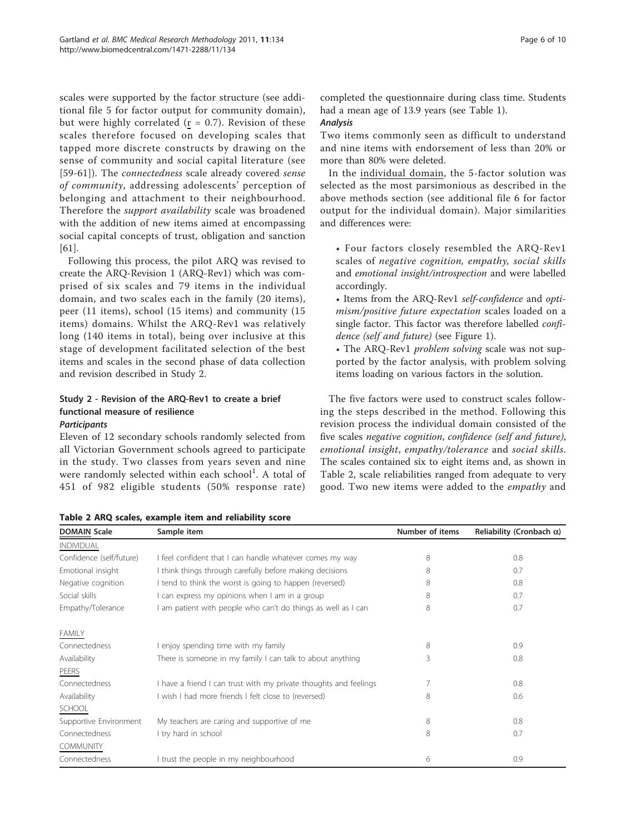<span id="page-6-0"></span>scales were supported by the factor structure (see additional file [5](#page-8-0) for factor output for community domain), but were highly correlated ( $r = 0.7$ ). Revision of these scales therefore focused on developing scales that tapped more discrete constructs by drawing on the sense of community and social capital literature (see [[59](#page-10-0)-[61\]](#page-10-0)). The connectedness scale already covered sense of community, addressing adolescents' perception of belonging and attachment to their neighbourhood. Therefore the support availability scale was broadened with the addition of new items aimed at encompassing social capital concepts of trust, obligation and sanction [[61\]](#page-10-0).

Following this process, the pilot ARQ was revised to create the ARQ-Revision 1 (ARQ-Rev1) which was comprised of six scales and 79 items in the individual domain, and two scales each in the family (20 items), peer (11 items), school (15 items) and community (15 items) domains. Whilst the ARQ-Rev1 was relatively long (140 items in total), being over inclusive at this stage of development facilitated selection of the best items and scales in the second phase of data collection and revision described in Study 2.

# Study 2 - Revision of the ARQ-Rev1 to create a brief functional measure of resilience

# **Participants**

Eleven of 12 secondary schools randomly selected from all Victorian Government schools agreed to participate in the study. Two classes from years seven and nine were randomly selected within each school $^1$ . A total of 451 of 982 eligible students (50% response rate)

completed the questionnaire during class time. Students had a mean age of 13.9 years (see Table [1\)](#page-3-0).

# Analysis

Two items commonly seen as difficult to understand and nine items with endorsement of less than 20% or more than 80% were deleted.

In the individual domain, the 5-factor solution was selected as the most parsimonious as described in the above methods section (see additional file [6](#page-8-0) for factor output for the individual domain). Major similarities and differences were:

• Four factors closely resembled the ARQ-Rev1 scales of negative cognition, empathy, social skills and emotional insight/introspection and were labelled accordingly.

• Items from the ARQ-Rev1 self-confidence and optimism/positive future expectation scales loaded on a single factor. This factor was therefore labelled *confi*dence (self and future) (see Figure [1\)](#page-4-0).

• The ARQ-Rev1 *problem solving* scale was not supported by the factor analysis, with problem solving items loading on various factors in the solution.

The five factors were used to construct scales following the steps described in the method. Following this revision process the individual domain consisted of the five scales negative cognition, confidence (self and future), emotional insight, empathy/tolerance and social skills. The scales contained six to eight items and, as shown in Table 2, scale reliabilities ranged from adequate to very good. Two new items were added to the *empathy* and

| <b>DOMAIN Scale</b>      | Sample item                                                       | Number of items | Reliability (Cronbach $\alpha$ ) |
|--------------------------|-------------------------------------------------------------------|-----------------|----------------------------------|
| <b>INDIVIDUAL</b>        |                                                                   |                 |                                  |
| Confidence (self/future) | I feel confident that I can handle whatever comes my way          | 8               | 0.8                              |
| Emotional insight        | I think things through carefully before making decisions          | 8               | 0.7                              |
| Negative cognition       | I tend to think the worst is going to happen (reversed)           | 8               | 0.8                              |
| Social skills            | I can express my opinions when I am in a group                    | 8               | 0.7                              |
| Empathy/Tolerance        | I am patient with people who can't do things as well as I can     | 8               | 0.7                              |
| FAMILY                   |                                                                   |                 |                                  |
| Connectedness            | I enjoy spending time with my family                              | 8               | 0.9                              |
| Availability             | There is someone in my family I can talk to about anything        | 3               | 0.8                              |
| PEERS                    |                                                                   |                 |                                  |
| Connectedness            | I have a friend I can trust with my private thoughts and feelings |                 | 0.8                              |
| Availability             | I wish I had more friends I felt close to (reversed)              | 8               | 0.6                              |
| <b>SCHOOL</b>            |                                                                   |                 |                                  |
| Supportive Environment   | My teachers are caring and supportive of me                       | 8               | 0.8                              |
| Connectedness            | I try hard in school                                              | 8               | 0.7                              |
| <b>COMMUNITY</b>         |                                                                   |                 |                                  |
| Connectedness            | I trust the people in my neighbourhood                            | 6               | 0.9                              |

Table 2 ARQ scales, example item and reliability score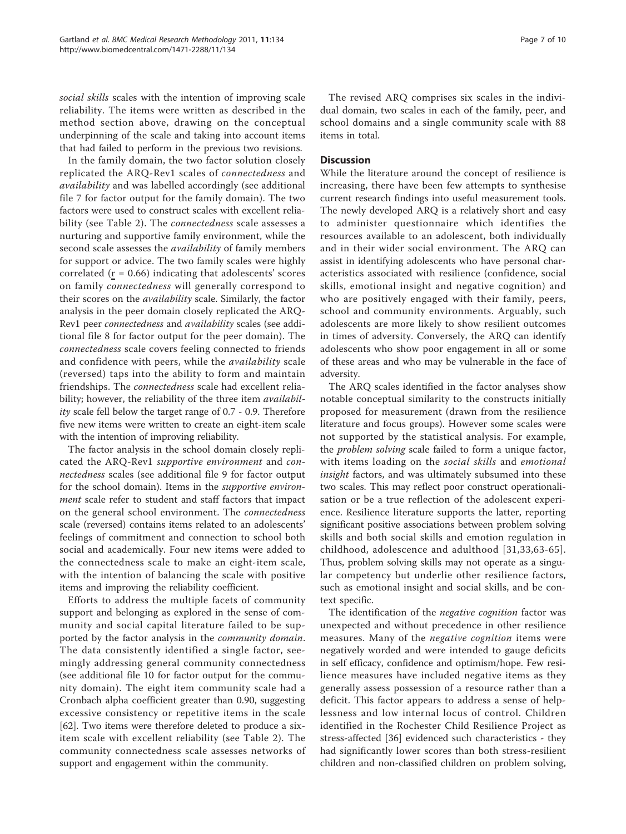social skills scales with the intention of improving scale reliability. The items were written as described in the method section above, drawing on the conceptual underpinning of the scale and taking into account items that had failed to perform in the previous two revisions.

In the family domain, the two factor solution closely replicated the ARQ-Rev1 scales of connectedness and availability and was labelled accordingly (see additional file [7](#page-8-0) for factor output for the family domain). The two factors were used to construct scales with excellent reliability (see Table [2\)](#page-6-0). The connectedness scale assesses a nurturing and supportive family environment, while the second scale assesses the *availability* of family members for support or advice. The two family scales were highly correlated  $(r = 0.66)$  indicating that adolescents' scores on family connectedness will generally correspond to their scores on the availability scale. Similarly, the factor analysis in the peer domain closely replicated the ARQ-Rev1 peer connectedness and availability scales (see additional file [8](#page-9-0) for factor output for the peer domain). The connectedness scale covers feeling connected to friends and confidence with peers, while the availability scale (reversed) taps into the ability to form and maintain friendships. The connectedness scale had excellent reliability; however, the reliability of the three item *availabil*ity scale fell below the target range of 0.7 - 0.9. Therefore five new items were written to create an eight-item scale with the intention of improving reliability.

The factor analysis in the school domain closely replicated the ARQ-Rev1 supportive environment and connectedness scales (see additional file [9](#page-9-0) for factor output for the school domain). Items in the *supportive environ*ment scale refer to student and staff factors that impact on the general school environment. The connectedness scale (reversed) contains items related to an adolescents' feelings of commitment and connection to school both social and academically. Four new items were added to the connectedness scale to make an eight-item scale, with the intention of balancing the scale with positive items and improving the reliability coefficient.

Efforts to address the multiple facets of community support and belonging as explored in the sense of community and social capital literature failed to be supported by the factor analysis in the community domain. The data consistently identified a single factor, seemingly addressing general community connectedness (see additional file [10](#page-9-0) for factor output for the community domain). The eight item community scale had a Cronbach alpha coefficient greater than 0.90, suggesting excessive consistency or repetitive items in the scale [[62\]](#page-10-0). Two items were therefore deleted to produce a sixitem scale with excellent reliability (see Table [2\)](#page-6-0). The community connectedness scale assesses networks of support and engagement within the community.

The revised ARQ comprises six scales in the individual domain, two scales in each of the family, peer, and school domains and a single community scale with 88 items in total.

#### **Discussion**

While the literature around the concept of resilience is increasing, there have been few attempts to synthesise current research findings into useful measurement tools. The newly developed ARQ is a relatively short and easy to administer questionnaire which identifies the resources available to an adolescent, both individually and in their wider social environment. The ARQ can assist in identifying adolescents who have personal characteristics associated with resilience (confidence, social skills, emotional insight and negative cognition) and who are positively engaged with their family, peers, school and community environments. Arguably, such adolescents are more likely to show resilient outcomes in times of adversity. Conversely, the ARQ can identify adolescents who show poor engagement in all or some of these areas and who may be vulnerable in the face of adversity.

The ARQ scales identified in the factor analyses show notable conceptual similarity to the constructs initially proposed for measurement (drawn from the resilience literature and focus groups). However some scales were not supported by the statistical analysis. For example, the *problem solving* scale failed to form a unique factor, with items loading on the social skills and emotional insight factors, and was ultimately subsumed into these two scales. This may reflect poor construct operationalisation or be a true reflection of the adolescent experience. Resilience literature supports the latter, reporting significant positive associations between problem solving skills and both social skills and emotion regulation in childhood, adolescence and adulthood [[31](#page-10-0),[33,63-65\]](#page-10-0). Thus, problem solving skills may not operate as a singular competency but underlie other resilience factors, such as emotional insight and social skills, and be context specific.

The identification of the *negative cognition* factor was unexpected and without precedence in other resilience measures. Many of the negative cognition items were negatively worded and were intended to gauge deficits in self efficacy, confidence and optimism/hope. Few resilience measures have included negative items as they generally assess possession of a resource rather than a deficit. This factor appears to address a sense of helplessness and low internal locus of control. Children identified in the Rochester Child Resilience Project as stress-affected [[36\]](#page-10-0) evidenced such characteristics - they had significantly lower scores than both stress-resilient children and non-classified children on problem solving,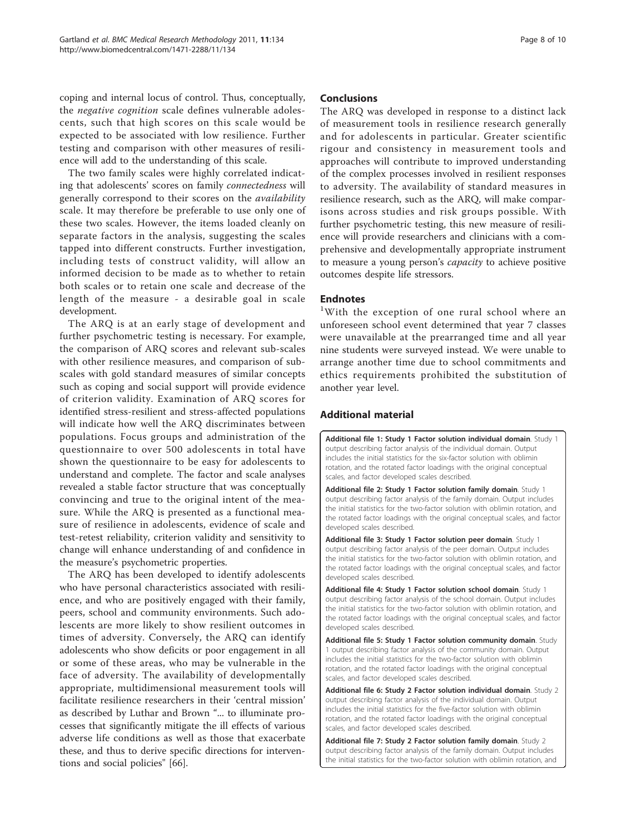<span id="page-8-0"></span>coping and internal locus of control. Thus, conceptually, the negative cognition scale defines vulnerable adolescents, such that high scores on this scale would be expected to be associated with low resilience. Further testing and comparison with other measures of resilience will add to the understanding of this scale.

The two family scales were highly correlated indicating that adolescents' scores on family connectedness will generally correspond to their scores on the availability scale. It may therefore be preferable to use only one of these two scales. However, the items loaded cleanly on separate factors in the analysis, suggesting the scales tapped into different constructs. Further investigation, including tests of construct validity, will allow an informed decision to be made as to whether to retain both scales or to retain one scale and decrease of the length of the measure - a desirable goal in scale development.

The ARQ is at an early stage of development and further psychometric testing is necessary. For example, the comparison of ARQ scores and relevant sub-scales with other resilience measures, and comparison of subscales with gold standard measures of similar concepts such as coping and social support will provide evidence of criterion validity. Examination of ARQ scores for identified stress-resilient and stress-affected populations will indicate how well the ARQ discriminates between populations. Focus groups and administration of the questionnaire to over 500 adolescents in total have shown the questionnaire to be easy for adolescents to understand and complete. The factor and scale analyses revealed a stable factor structure that was conceptually convincing and true to the original intent of the measure. While the ARQ is presented as a functional measure of resilience in adolescents, evidence of scale and test-retest reliability, criterion validity and sensitivity to change will enhance understanding of and confidence in the measure's psychometric properties.

The ARQ has been developed to identify adolescents who have personal characteristics associated with resilience, and who are positively engaged with their family, peers, school and community environments. Such adolescents are more likely to show resilient outcomes in times of adversity. Conversely, the ARQ can identify adolescents who show deficits or poor engagement in all or some of these areas, who may be vulnerable in the face of adversity. The availability of developmentally appropriate, multidimensional measurement tools will facilitate resilience researchers in their 'central mission' as described by Luthar and Brown "... to illuminate processes that significantly mitigate the ill effects of various adverse life conditions as well as those that exacerbate these, and thus to derive specific directions for interventions and social policies" [[66\]](#page-10-0).

#### Conclusions

The ARQ was developed in response to a distinct lack of measurement tools in resilience research generally and for adolescents in particular. Greater scientific rigour and consistency in measurement tools and approaches will contribute to improved understanding of the complex processes involved in resilient responses to adversity. The availability of standard measures in resilience research, such as the ARQ, will make comparisons across studies and risk groups possible. With further psychometric testing, this new measure of resilience will provide researchers and clinicians with a comprehensive and developmentally appropriate instrument to measure a young person's *capacity* to achieve positive outcomes despite life stressors.

### Endnotes

<sup>1</sup>With the exception of one rural school where an unforeseen school event determined that year 7 classes were unavailable at the prearranged time and all year nine students were surveyed instead. We were unable to arrange another time due to school commitments and ethics requirements prohibited the substitution of another year level.

#### Additional material

[Additional file 1: S](http://www.biomedcentral.com/content/supplementary/1471-2288-11-134-S1.DOCX)tudy 1 Factor solution individual domain. Study 1 output describing factor analysis of the individual domain. Output includes the initial statistics for the six-factor solution with oblimin rotation, and the rotated factor loadings with the original conceptual scales, and factor developed scales described.

[Additional file 2: S](http://www.biomedcentral.com/content/supplementary/1471-2288-11-134-S2.DOCX)tudy 1 Factor solution family domain. Study 1 output describing factor analysis of the family domain. Output includes the initial statistics for the two-factor solution with oblimin rotation, and the rotated factor loadings with the original conceptual scales, and factor developed scales described.

[Additional file 3: S](http://www.biomedcentral.com/content/supplementary/1471-2288-11-134-S3.DOCX)tudy 1 Factor solution peer domain. Study 1 output describing factor analysis of the peer domain. Output includes the initial statistics for the two-factor solution with oblimin rotation, and the rotated factor loadings with the original conceptual scales, and factor developed scales described.

[Additional file 4: S](http://www.biomedcentral.com/content/supplementary/1471-2288-11-134-S4.DOCX)tudy 1 Factor solution school domain. Study 1 output describing factor analysis of the school domain. Output includes the initial statistics for the two-factor solution with oblimin rotation, and the rotated factor loadings with the original conceptual scales, and factor developed scales described.

[Additional file 5: S](http://www.biomedcentral.com/content/supplementary/1471-2288-11-134-S5.DOCX)tudy 1 Factor solution community domain. Study 1 output describing factor analysis of the community domain. Output includes the initial statistics for the two-factor solution with oblimin rotation, and the rotated factor loadings with the original conceptual scales, and factor developed scales described.

[Additional file 6: S](http://www.biomedcentral.com/content/supplementary/1471-2288-11-134-S6.DOCX)tudy 2 Factor solution individual domain. Study 2 output describing factor analysis of the individual domain. Output includes the initial statistics for the five-factor solution with oblimin rotation, and the rotated factor loadings with the original conceptual scales, and factor developed scales described.

[Additional file 7: S](http://www.biomedcentral.com/content/supplementary/1471-2288-11-134-S7.DOCX)tudy 2 Factor solution family domain. Study 2 output describing factor analysis of the family domain. Output includes the initial statistics for the two-factor solution with oblimin rotation, and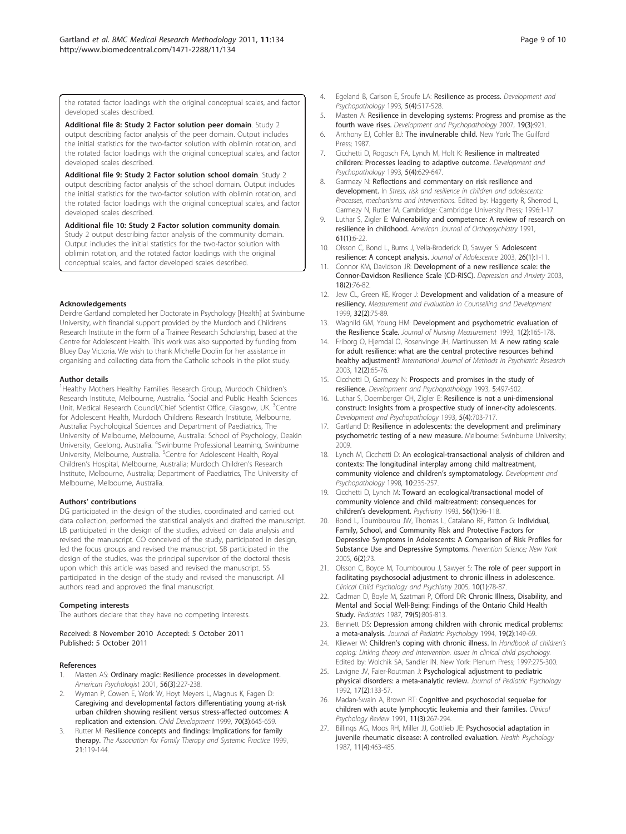<span id="page-9-0"></span>the rotated factor loadings with the original conceptual scales, and factor developed scales described.

[Additional file 8: S](http://www.biomedcentral.com/content/supplementary/1471-2288-11-134-S8.DOCX)tudy 2 Factor solution peer domain. Study 2 output describing factor analysis of the peer domain. Output includes the initial statistics for the two-factor solution with oblimin rotation, and the rotated factor loadings with the original conceptual scales, and factor developed scales described.

[Additional file 9: S](http://www.biomedcentral.com/content/supplementary/1471-2288-11-134-S9.DOCX)tudy 2 Factor solution school domain. Study 2 output describing factor analysis of the school domain. Output includes the initial statistics for the two-factor solution with oblimin rotation, and the rotated factor loadings with the original conceptual scales, and factor developed scales described.

[Additional file 10: S](http://www.biomedcentral.com/content/supplementary/1471-2288-11-134-S10.DOCX)tudy 2 Factor solution community domain. Study 2 output describing factor analysis of the community domain. Output includes the initial statistics for the two-factor solution with oblimin rotation, and the rotated factor loadings with the original conceptual scales, and factor developed scales described.

#### **Acknowledgements**

Deirdre Gartland completed her Doctorate in Psychology [Health] at Swinburne University, with financial support provided by the Murdoch and Childrens Research Institute in the form of a Trainee Research Scholarship, based at the Centre for Adolescent Health. This work was also supported by funding from Bluey Day Victoria. We wish to thank Michelle Doolin for her assistance in organising and collecting data from the Catholic schools in the pilot study.

#### Author details

<sup>1</sup> Healthy Mothers Healthy Families Research Group, Murdoch Children's Research Institute, Melbourne, Australia. <sup>2</sup>Social and Public Health Sciences Unit, Medical Research Council/Chief Scientist Office, Glasgow, UK. <sup>3</sup>Centre for Adolescent Health, Murdoch Childrens Research Institute, Melbourne, Australia: Psychological Sciences and Department of Paediatrics, The University of Melbourne, Melbourne, Australia: School of Psychology, Deakin University, Geelong, Australia. <sup>4</sup>Swinburne Professional Learning, Swinburne University, Melbourne, Australia. <sup>5</sup>Centre for Adolescent Health, Royal Children's Hospital, Melbourne, Australia; Murdoch Children's Research Institute, Melbourne, Australia; Department of Paediatrics, The University of Melbourne, Melbourne, Australia.

#### Authors' contributions

DG participated in the design of the studies, coordinated and carried out data collection, performed the statistical analysis and drafted the manuscript. LB participated in the design of the studies, advised on data analysis and revised the manuscript. CO conceived of the study, participated in design, led the focus groups and revised the manuscript. SB participated in the design of the studies, was the principal supervisor of the doctoral thesis upon which this article was based and revised the manuscript. SS participated in the design of the study and revised the manuscript. All authors read and approved the final manuscript.

#### Competing interests

The authors declare that they have no competing interests.

Received: 8 November 2010 Accepted: 5 October 2011 Published: 5 October 2011

#### References

- 1. Masten AS: [Ordinary magic: Resilience processes in development.](http://www.ncbi.nlm.nih.gov/pubmed/11315249?dopt=Abstract) American Psychologist 2001, 56(3):227-238.
- 2. Wyman P, Cowen E, Work W, Hoyt Meyers L, Magnus K, Fagen D: [Caregiving and developmental factors differentiating young at-risk](http://www.ncbi.nlm.nih.gov/pubmed/10368913?dopt=Abstract) [urban children showing resilient versus stress-affected outcomes: A](http://www.ncbi.nlm.nih.gov/pubmed/10368913?dopt=Abstract) [replication and extension.](http://www.ncbi.nlm.nih.gov/pubmed/10368913?dopt=Abstract) Child Development 1999, 70(3):645-659.
- Rutter M: Resilience concepts and findings: Implications for family therapy. The Association for Family Therapy and Systemic Practice 1999, 21:119-144.
- 4. Egeland B, Carlson E, Sroufe LA: Resilience as process. Development and Psychopathology 1993, 5(4):517-528.
- 5. Masten A: [Resilience in developing systems: Progress and promise as the](http://www.ncbi.nlm.nih.gov/pubmed/17705908?dopt=Abstract) [fourth wave rises.](http://www.ncbi.nlm.nih.gov/pubmed/17705908?dopt=Abstract) Development and Psychopathology 2007, 19(3):921.
- 6. Anthony EJ, Cohler BJ: The invulnerable child. New York: The Guilford Press; 1987.
- 7. Cicchetti D, Rogosch FA, Lynch M, Holt K: Resilience in maltreated children: Processes leading to adaptive outcome. Development and Psychopathology 1993, 5(4):629-647.
- 8. Garmezy N: Reflections and commentary on risk resilience and development. In Stress, risk and resilience in children and adolescents: Processes, mechanisms and interventions. Edited by: Haggerty R, Sherrod L, Garmezy N, Rutter M. Cambridge: Cambridge University Press; 1996:1-17.
- 9. Luthar S, Zigler E: [Vulnerability and competence: A review of research on](http://www.ncbi.nlm.nih.gov/pubmed/2006679?dopt=Abstract) [resilience in childhood.](http://www.ncbi.nlm.nih.gov/pubmed/2006679?dopt=Abstract) American Journal of Orthopsychiatry 1991, 61(1):6-22.
- 10. Olsson C, Bond L, Burns J, Vella-Broderick D, Sawyer S: [Adolescent](http://www.ncbi.nlm.nih.gov/pubmed/12550818?dopt=Abstract) [resilience: A concept analysis.](http://www.ncbi.nlm.nih.gov/pubmed/12550818?dopt=Abstract) Journal of Adolescence 2003, 26(1):1-11.
- 11. Connor KM, Davidson JR: [Development of a new resilience scale: the](http://www.ncbi.nlm.nih.gov/pubmed/12964174?dopt=Abstract) [Connor-Davidson Resilience Scale \(CD-RISC\).](http://www.ncbi.nlm.nih.gov/pubmed/12964174?dopt=Abstract) Depression and Anxiety 2003, 18(2):76-82.
- 12. Jew CL, Green KE, Kroger J: Development and validation of a measure of resiliency. Measurement and Evaluation in Counselling and Development 1999, 32(2):75-89.
- 13. Wagnild GM, Young HM: [Development and psychometric evaluation of](http://www.ncbi.nlm.nih.gov/pubmed/7850498?dopt=Abstract) [the Resilience Scale.](http://www.ncbi.nlm.nih.gov/pubmed/7850498?dopt=Abstract) Journal of Nursing Measurement 1993, 1(2):165-178.
- 14. Friborg O, Hjemdal O, Rosenvinge JH, Martinussen M: [A new rating scale](http://www.ncbi.nlm.nih.gov/pubmed/12830300?dopt=Abstract) [for adult resilience: what are the central protective resources behind](http://www.ncbi.nlm.nih.gov/pubmed/12830300?dopt=Abstract) [healthy adjustment?](http://www.ncbi.nlm.nih.gov/pubmed/12830300?dopt=Abstract) International Journal of Methods in Psychiatric Research 2003, 12(2):65-76.
- 15. Cicchetti D, Garmezy N: Prospects and promises in the study of resilience. Development and Psychopathology 1993, 5:497-502.
- 16. Luthar S, Doernberger CH, Zigler E: Resilience is not a uni-dimensional construct: Insights from a prospective study of inner-city adolescents. Development and Psychopathology 1993, 5(4):703-717.
- 17. Gartland D: Resilience in adolescents: the development and preliminary psychometric testing of a new measure. Melbourne: Swinburne University; 2009.
- 18. Lynch M, Cicchetti D: [An ecological-transactional analysis of children and](http://www.ncbi.nlm.nih.gov/pubmed/9635223?dopt=Abstract) [contexts: The longitudinal interplay among child maltreatment,](http://www.ncbi.nlm.nih.gov/pubmed/9635223?dopt=Abstract) [community violence and children](http://www.ncbi.nlm.nih.gov/pubmed/9635223?dopt=Abstract)'s symptomatology. Development and Psychopathology 1998, 10:235-257.
- 19. Cicchetti D, Lynch M: [Toward an ecological/transactional model of](http://www.ncbi.nlm.nih.gov/pubmed/8488217?dopt=Abstract) [community violence and child maltreatment: consequences for](http://www.ncbi.nlm.nih.gov/pubmed/8488217?dopt=Abstract) children'[s development.](http://www.ncbi.nlm.nih.gov/pubmed/8488217?dopt=Abstract) Psychiatry 1993, 56(1):96-118.
- 20. Bond L, Toumbourou JW, Thomas L, Catalano RF, Patton G: [Individual,](http://www.ncbi.nlm.nih.gov/pubmed/21980007?dopt=Abstract) [Family, School, and Community Risk and Protective Factors for](http://www.ncbi.nlm.nih.gov/pubmed/21980007?dopt=Abstract) [Depressive Symptoms in Adolescents: A Comparison of Risk Profiles for](http://www.ncbi.nlm.nih.gov/pubmed/21980007?dopt=Abstract) [Substance Use and Depressive Symptoms.](http://www.ncbi.nlm.nih.gov/pubmed/21980007?dopt=Abstract) Prevention Science; New York 2005, 6(2):73.
- 21. Olsson C, Boyce M, Toumbourou J, Sawyer S: The role of peer support in facilitating psychosocial adjustment to chronic illness in adolescence. Clinical Child Psychology and Psychiatry 2005, 10(1):78-87.
- 22. Cadman D, Boyle M, Szatmari P, Offord DR: [Chronic Illness, Disability, and](http://www.ncbi.nlm.nih.gov/pubmed/2952939?dopt=Abstract) [Mental and Social Well-Being: Findings of the Ontario Child Health](http://www.ncbi.nlm.nih.gov/pubmed/2952939?dopt=Abstract) [Study.](http://www.ncbi.nlm.nih.gov/pubmed/2952939?dopt=Abstract) Pediatrics 1987, 79(5):805-813.
- 23. Bennett DS: [Depression among children with chronic medical problems:](http://www.ncbi.nlm.nih.gov/pubmed/8051600?dopt=Abstract) [a meta-analysis.](http://www.ncbi.nlm.nih.gov/pubmed/8051600?dopt=Abstract) Journal of Pediatric Psychology 1994, 19(2):149-69.
- 24. Kliewer W: Children'[s coping with chronic illness.](http://www.ncbi.nlm.nih.gov/pubmed/21949433?dopt=Abstract) In Handbook of children's coping: Linking theory and intervention. Issues in clinical child psychology. Edited by: Wolchik SA, Sandler IN. New York: Plenum Press; 1997:275-300.
- 25. Lavigne JV, Faier-Routman J: [Psychological adjustment to pediatric](http://www.ncbi.nlm.nih.gov/pubmed/1534367?dopt=Abstract) [physical disorders: a meta-analytic review.](http://www.ncbi.nlm.nih.gov/pubmed/1534367?dopt=Abstract) Journal of Pediatric Psychology 1992, 17(2):133-57.
- 26. Madan-Swain A, Brown RT: Cognitive and psychosocial sequelae for children with acute lymphocytic leukemia and their families. Clinical Psychology Review 1991, 11(3):267-294.
- 27. Billings AG, Moos RH, Miller JJ, Gottlieb JE: Psychosocial adaptation in juvenile rheumatic disease: A controlled evaluation. Health Psychology 1987, 11(4):463-485.